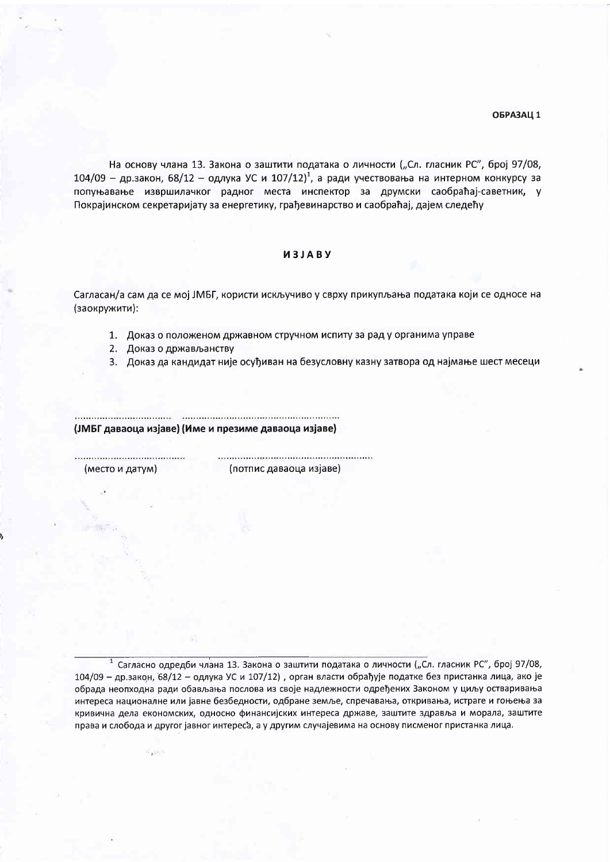#### ОБРАЗАЦ 1

На основу члана 13. Закона о заштити података о личности ("Сл. гласник РС", број 97/08, 104/09 - др.закон, 68/12 - одлука УС и 107/12)<sup>1</sup>, а ради учествовања на интерном конкурсу за попуњавање извршилачког радног места инспектор за друмски саобраћај-саветник, у Покрајинском секретаријату за енергетику, грађевинарство и саобраћај, дајем следећу

# *UBALEN*

Сагласан/а сам да се мој ЈМБГ, користи искључиво у сврху прикупљања података који се односе на (заокружити):

1. Доказ о положеном државном стручном испиту за рад у органима управе

2. Доказ о држављанству

3. Доказ да кандидат није осуђиван на безусловну казну затвора од најмање шест месеци

(ЈМБГ даваоца изјаве) (Име и презиме даваоца изјаве)

(место и датум)

 $H_{1,2}(\mu, 1)$ 

(потпис даваоца изјаве)

<sup>1</sup> Сагласно одредби члана 13. Закона о заштити података о личности ("Сл. гласник РС", број 97/08, 104/09 - др.закон, 68/12 - одлука УС и 107/12), орган власти обрађује податке без пристанка лица, ако је обрада неопходна ради обављања послова из своје надлежности одређених Законом у циљу остваривања интереса националне или јавне безбедности, одбране земље, спречавања, откривања, истраге и гоњења за кривична дела економских, односно финансијских интереса државе, заштите здравља и морала, заштите права и слобода и другог јавног интереса, а у другим случајевима на основу писменог пристанка лица.